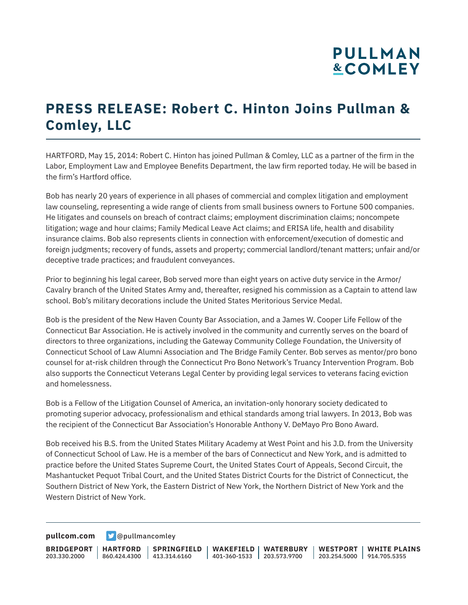# **PULLMAN &COMLEY**

### **PRESS RELEASE: Robert C. Hinton Joins Pullman & Comley, LLC**

HARTFORD, May 15, 2014: Robert C. Hinton has joined Pullman & Comley, LLC as a partner of the firm in the Labor, Employment Law and Employee Benefits Department, the law firm reported today. He will be based in the firm's Hartford office.

Bob has nearly 20 years of experience in all phases of commercial and complex litigation and employment law counseling, representing a wide range of clients from small business owners to Fortune 500 companies. He litigates and counsels on breach of contract claims; employment discrimination claims; noncompete litigation; wage and hour claims; Family Medical Leave Act claims; and ERISA life, health and disability insurance claims. Bob also represents clients in connection with enforcement/execution of domestic and foreign judgments; recovery of funds, assets and property; commercial landlord/tenant matters; unfair and/or deceptive trade practices; and fraudulent conveyances.

Prior to beginning his legal career, Bob served more than eight years on active duty service in the Armor/ Cavalry branch of the United States Army and, thereafter, resigned his commission as a Captain to attend law school. Bob's military decorations include the United States Meritorious Service Medal.

Bob is the president of the New Haven County Bar Association, and a James W. Cooper Life Fellow of the Connecticut Bar Association. He is actively involved in the community and currently serves on the board of directors to three organizations, including the Gateway Community College Foundation, the University of Connecticut School of Law Alumni Association and The Bridge Family Center. Bob serves as mentor/pro bono counsel for at-risk children through the Connecticut Pro Bono Network's Truancy Intervention Program. Bob also supports the Connecticut Veterans Legal Center by providing legal services to veterans facing eviction and homelessness.

Bob is a Fellow of the Litigation Counsel of America, an invitation-only honorary society dedicated to promoting superior advocacy, professionalism and ethical standards among trial lawyers. In 2013, Bob was the recipient of the Connecticut Bar Association's Honorable Anthony V. DeMayo Pro Bono Award.

Bob received his B.S. from the United States Military Academy at West Point and his J.D. from the University of Connecticut School of Law. He is a member of the bars of Connecticut and New York, and is admitted to practice before the United States Supreme Court, the United States Court of Appeals, Second Circuit, the Mashantucket Pequot Tribal Court, and the United States District Courts for the District of Connecticut, the Southern District of New York, the Eastern District of New York, the Northern District of New York and the Western District of New York.

**[pullcom.com](https://www.pullcom.com) g** [@pullmancomley](https://twitter.com/PullmanComley)

**BRIDGEPORT** 203.330.2000 **HARTFORD** 860.424.4300 413.314.6160 **SPRINGFIELD WAKEFIELD WATERBURY** 401-360-1533 203.573.9700 **WESTPORT WHITE PLAINS** 203.254.5000 914.705.5355